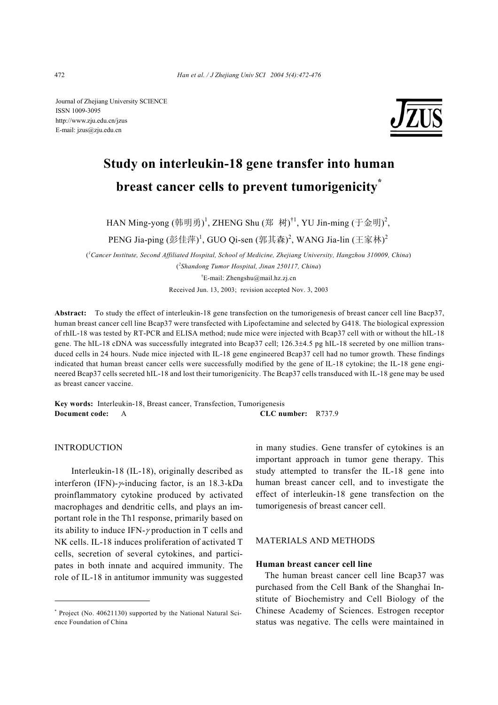Journal of Zhejiang University SCIENCE ISSN 1009-3095 http://www.zju.edu.cn/jzus E-mail: jzus@zju.edu.cn



# **Study on interleukin-18 gene transfer into human breast cancer cells to prevent tumorigenicity\***

HAN Ming-yong (韩明勇)<sup>1</sup>, ZHENG Shu (郑 树)<sup>†1</sup>, YU Jin-ming (于金明)<sup>2</sup>,

PENG Jia-ping (彭佳萍) <sup>1</sup>, GUO Qi-sen (郭其森) <sup>2</sup>, WANG Jia-lin (王家林) <sup>2</sup>

( *1 Cancer Institute, Second Affiliated Hospital, School of Medicine, Zhejiang University, Hangzhou 310009, China*) ( *2 Shandong Tumor Hospital, Jinan 250117, China*)

† E-mail: Zhengshu@mail.hz.zj.cn

Received Jun. 13, 2003; revision accepted Nov. 3, 2003

**Abstract:** To study the effect of interleukin-18 gene transfection on the tumorigenesis of breast cancer cell line Bacp37, human breast cancer cell line Bcap37 were transfected with Lipofectamine and selected by G418. The biological expression of rhIL-18 was tested by RT-PCR and ELISA method; nude mice were injected with Bcap37 cell with or without the hIL-18 gene. The hIL-18 cDNA was successfully integrated into Bcap37 cell; 126.3±4.5 pg hIL-18 secreted by one million transduced cells in 24 hours. Nude mice injected with IL-18 gene engineered Bcap37 cell had no tumor growth. These findings indicated that human breast cancer cells were successfully modified by the gene of IL-18 cytokine; the IL-18 gene engineered Bcap37 cells secreted hIL-18 and lost their tumorigenicity. The Bcap37 cells transduced with IL-18 gene may be used as breast cancer vaccine.

**Key words:** Interleukin-18, Breast cancer, Transfection, Tumorigenesis **Document code:** A **CLC number:** R737.9

# INTRODUCTION

Interleukin-18 (IL-18), originally described as interferon (IFN)-γ-inducing factor, is an 18.3-kDa proinflammatory cytokine produced by activated macrophages and dendritic cells, and plays an important role in the Th1 response, primarily based on its ability to induce IFN- $\gamma$  production in T cells and NK cells. IL-18 induces proliferation of activated T cells, secretion of several cytokines, and participates in both innate and acquired immunity. The role of IL-18 in antitumor immunity was suggested in many studies. Gene transfer of cytokines is an important approach in tumor gene therapy. This study attempted to transfer the IL-18 gene into human breast cancer cell, and to investigate the effect of interleukin-18 gene transfection on the tumorigenesis of breast cancer cell.

# MATERIALS AND METHODS

# **Human breast cancer cell line**

The human breast cancer cell line Bcap37 was purchased from the Cell Bank of the Shanghai Institute of Biochemistry and Cell Biology of the Chinese Academy of Sciences. Estrogen receptor status was negative. The cells were maintained in

<sup>\*</sup> Project (No. 40621130) supported by the National Natural Science Foundation of China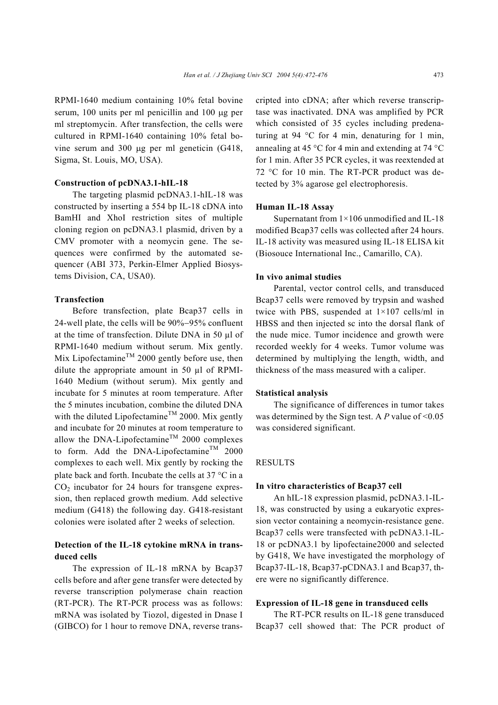RPMI-1640 medium containing 10% fetal bovine serum, 100 units per ml penicillin and 100 µg per ml streptomycin. After transfection, the cells were cultured in RPMI-1640 containing 10% fetal bovine serum and 300 µg per ml geneticin (G418, Sigma, St. Louis, MO, USA).

#### **Construction of pcDNA3.1-hIL-18**

The targeting plasmid pcDNA3.1-hIL-18 was constructed by inserting a 554 bp IL-18 cDNA into BamHI and XhoI restriction sites of multiple cloning region on pcDNA3.1 plasmid, driven by a CMV promoter with a neomycin gene. The sequences were confirmed by the automated sequencer (ABI 373, Perkin-Elmer Applied Biosystems Division, CA, USA0).

#### **Transfection**

Before transfection, plate Bcap37 cells in 24-well plate, the cells will be 90%−95% confluent at the time of transfection. Dilute DNA in 50 µl of RPMI-1640 medium without serum. Mix gently. Mix Lipofectamine<sup>TM</sup> 2000 gently before use, then dilute the appropriate amount in 50 µl of RPMI-1640 Medium (without serum). Mix gently and incubate for 5 minutes at room temperature. After the 5 minutes incubation, combine the diluted DNA with the diluted Lipofectamine<sup>TM</sup> 2000. Mix gently and incubate for 20 minutes at room temperature to allow the DNA-Lipofectamine<sup>TM</sup> 2000 complexes to form. Add the DNA-Lipofectamine<sup>TM</sup> 2000 complexes to each well. Mix gently by rocking the plate back and forth. Incubate the cells at 37 °C in a  $CO<sub>2</sub>$  incubator for 24 hours for transgene expression, then replaced growth medium. Add selective medium (G418) the following day. G418-resistant colonies were isolated after 2 weeks of selection.

# **Detection of the IL-18 cytokine mRNA in transduced cells**

The expression of IL-18 mRNA by Bcap37 cells before and after gene transfer were detected by reverse transcription polymerase chain reaction (RT-PCR). The RT-PCR process was as follows: mRNA was isolated by Tiozol, digested in Dnase I (GIBCO) for 1 hour to remove DNA, reverse transcripted into cDNA; after which reverse transcriptase was inactivated. DNA was amplified by PCR which consisted of 35 cycles including predenaturing at 94 °C for 4 min, denaturing for 1 min, annealing at 45 °C for 4 min and extending at 74 °C for 1 min. After 35 PCR cycles, it was reextended at 72 °C for 10 min. The RT-PCR product was detected by 3% agarose gel electrophoresis.

# **Human IL-18 Assay**

Supernatant from 1×106 unmodified and IL-18 modified Bcap37 cells was collected after 24 hours. IL-18 activity was measured using IL-18 ELISA kit (Biosouce International Inc., Camarillo, CA).

#### **In vivo animal studies**

Parental, vector control cells, and transduced Bcap37 cells were removed by trypsin and washed twice with PBS, suspended at 1×107 cells/ml in HBSS and then injected sc into the dorsal flank of the nude mice. Tumor incidence and growth were recorded weekly for 4 weeks. Tumor volume was determined by multiplying the length, width, and thickness of the mass measured with a caliper.

# **Statistical analysis**

The significance of differences in tumor takes was determined by the Sign test. A *P* value of <0.05 was considered significant.

# RESULTS

#### **In vitro characteristics of Bcap37 cell**

An hIL-18 expression plasmid, pcDNA3.1-IL-18, was constructed by using a eukaryotic expression vector containing a neomycin-resistance gene. Bcap37 cells were transfected with pcDNA3.1-IL-18 or pcDNA3.1 by lipofectaine2000 and selected by G418, We have investigated the morphology of Bcap37-IL-18, Bcap37-pCDNA3.1 and Bcap37, there were no significantly difference.

#### **Expression of IL-18 gene in transduced cells**

The RT-PCR results on IL-18 gene transduced Bcap37 cell showed that: The PCR product of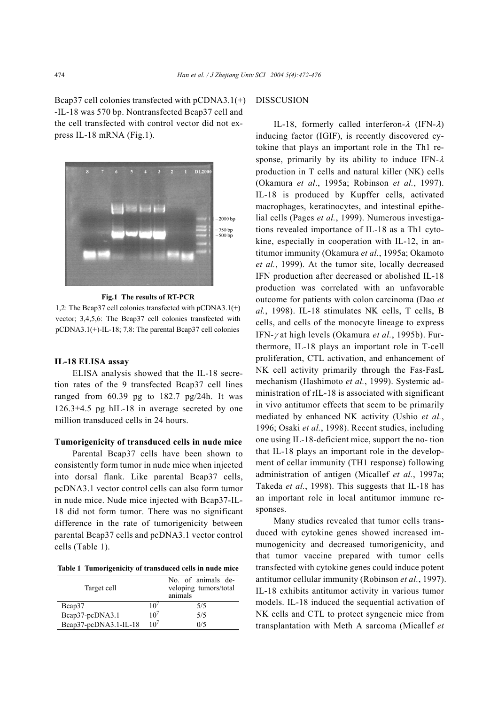Bcap37 cell colonies transfected with pCDNA3.1(+) -IL-18 was 570 bp. Nontransfected Bcap37 cell and the cell transfected with control vector did not express IL-18 mRNA (Fig.1).



**Fig.1 The results of RT-PCR** 

1,2: The Bcap37 cell colonies transfected with pCDNA3.1(+) vector; 3,4,5,6: The Bcap37 cell colonies transfected with pCDNA3.1(+)-IL-18; 7,8: The parental Bcap37 cell colonies

# **IL-18 ELISA assay**

ELISA analysis showed that the IL-18 secretion rates of the 9 transfected Bcap37 cell lines ranged from 60.39 pg to 182.7 pg/24h. It was 126.3±4.5 pg hIL-18 in average secreted by one million transduced cells in 24 hours.

# **Tumorigenicity of transduced cells in nude mice**

Parental Bcap37 cells have been shown to consistently form tumor in nude mice when injected into dorsal flank. Like parental Bcap37 cells, pcDNA3.1 vector control cells can also form tumor in nude mice. Nude mice injected with Bcap37-IL-18 did not form tumor. There was no significant difference in the rate of tumorigenicity between parental Bcap37 cells and pcDNA3.1 vector control cells (Table 1).

**Table 1 Tumorigenicity of transduced cells in nude mice**

| Target cell           |                 | No. of animals de-<br>veloping tumors/total<br>animals |
|-----------------------|-----------------|--------------------------------------------------------|
| Bcap37                |                 | 5/5                                                    |
| Bcap37-pcDNA3.1       | 10 <sup>7</sup> | 5/5                                                    |
| Bcap37-pcDNA3.1-IL-18 | $10^{7}$        | 0/5                                                    |

# DISSCUSION

IL-18, formerly called interferon- $\lambda$  (IFN- $\lambda$ ) inducing factor (IGIF), is recently discovered cytokine that plays an important role in the Th1 response, primarily by its ability to induce IFN- $\lambda$ production in T cells and natural killer (NK) cells (Okamura *et al*., 1995a; Robinson *et al.*, 1997). IL-18 is produced by Kupffer cells, activated macrophages, keratinocytes, and intestinal epithelial cells (Pages *et al.*, 1999). Numerous investigations revealed importance of IL-18 as a Th1 cytokine, especially in cooperation with IL-12, in antitumor immunity (Okamura *et al.*, 1995a; Okamoto *et al.*, 1999). At the tumor site, locally decreased IFN production after decreased or abolished IL-18 production was correlated with an unfavorable outcome for patients with colon carcinoma (Dao *et al.*, 1998). IL-18 stimulates NK cells, T cells, B cells, and cells of the monocyte lineage to express IFN-γ at high levels (Okamura *et al.*, 1995b). Furthermore, IL-18 plays an important role in T-cell proliferation, CTL activation, and enhancement of NK cell activity primarily through the Fas-FasL mechanism (Hashimoto *et al.*, 1999). Systemic administration of rIL-18 is associated with significant in vivo antitumor effects that seem to be primarily mediated by enhanced NK activity (Ushio *et al.*, 1996; Osaki *et al.*, 1998). Recent studies, including one using IL-18-deficient mice, support the no- tion that IL-18 plays an important role in the development of cellar immunity (TH1 response) following administration of antigen (Micallef *et al.*, 1997a; Takeda *et al.*, 1998). This suggests that IL-18 has an important role in local antitumor immune responses.

Many studies revealed that tumor cells transduced with cytokine genes showed increased immunogenicity and decreased tumorigenicity, and that tumor vaccine prepared with tumor cells transfected with cytokine genes could induce potent antitumor cellular immunity (Robinson *et al.*, 1997). IL-18 exhibits antitumor activity in various tumor models. IL-18 induced the sequential activation of NK cells and CTL to protect syngeneic mice from transplantation with Meth A sarcoma (Micallef *et*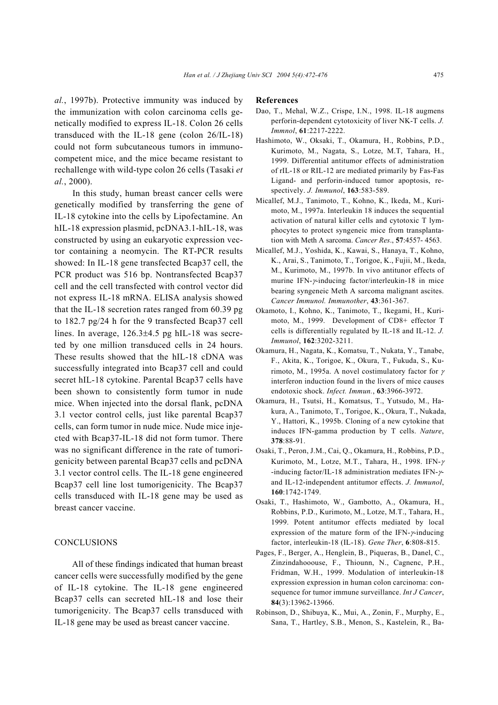*al.*, 1997b). Protective immunity was induced by the immunization with colon carcinoma cells genetically modified to express IL-18. Colon 26 cells transduced with the IL-18 gene (colon 26/IL-18) could not form subcutaneous tumors in immunocompetent mice, and the mice became resistant to rechallenge with wild-type colon 26 cells (Tasaki *et al.*, 2000).

In this study, human breast cancer cells were genetically modified by transferring the gene of IL-18 cytokine into the cells by Lipofectamine. An hIL-18 expression plasmid, pcDNA3.1-hIL-18, was constructed by using an eukaryotic expression vector containing a neomycin. The RT-PCR results showed: In IL-18 gene transfected Bcap37 cell, the PCR product was 516 bp. Nontransfected Bcap37 cell and the cell transfected with control vector did not express IL-18 mRNA. ELISA analysis showed that the IL-18 secretion rates ranged from 60.39 pg to 182.7 pg/24 h for the 9 transfected Bcap37 cell lines. In average, 126.3±4.5 pg hIL-18 was secreted by one million transduced cells in 24 hours. These results showed that the hIL-18 cDNA was successfully integrated into Bcap37 cell and could secret hIL-18 cytokine. Parental Bcap37 cells have been shown to consistently form tumor in nude mice. When injected into the dorsal flank, pcDNA 3.1 vector control cells, just like parental Bcap37 cells, can form tumor in nude mice. Nude mice injected with Bcap37-IL-18 did not form tumor. There was no significant difference in the rate of tumorigenicity between parental Bcap37 cells and pcDNA 3.1 vector control cells. The IL-18 gene engineered Bcap37 cell line lost tumorigenicity. The Bcap37 cells transduced with IL-18 gene may be used as breast cancer vaccine.

#### **CONCLUSIONS**

All of these findings indicated that human breast cancer cells were successfully modified by the gene of IL-18 cytokine. The IL-18 gene engineered Bcap37 cells can secreted hIL-18 and lose their tumorigenicity. The Bcap37 cells transduced with IL-18 gene may be used as breast cancer vaccine.

#### **References**

- Dao, T., Mehal, W.Z., Crispe, I.N., 1998. IL-18 augmens perforin-dependent cytotoxicity of liver NK-T cells. *J. Immnol*, **61**:2217-2222.
- Hashimoto, W., Oksaki, T., Okamura, H., Robbins, P.D., Kurimoto, M., Nagata, S., Lotze, M.T, Tahara, H., 1999. Differential antitumor effects of administration of rIL-18 or RIL-12 are mediated primarily by Fas-Fas Ligand- and perforin-induced tumor apoptosis, respectively. *J. Immunol*, **163**:583-589.
- Micallef, M.J., Tanimoto, T., Kohno, K., Ikeda, M., Kurimoto, M., 1997a. Interleukin 18 induces the sequential activation of natural killer cells and cytotoxic T lymphocytes to protect syngeneic mice from transplantation with Meth A sarcoma. *Cancer Res*., **57**:4557- 4563.
- Micallef, M.J., Yoshida, K., Kawai, S., Hanaya, T., Kohno, K., Arai, S., Tanimoto, T., Torigoe, K., Fujii, M., Ikeda, M., Kurimoto, M., 1997b. In vivo antitunor effects of murine IFN-γ-inducing factor/interleukin-18 in mice bearing syngeneic Meth A sarcoma malignant ascites. *Cancer Immunol. Immunother*, **43**:361-367.
- Okamoto, I., Kohno, K., Tanimoto, T., Ikegami, H., Kurimoto, M., 1999. Development of CD8+ effector T cells is differentially regulated by IL-18 and IL-12. *J. Immunol*, **162**:3202-3211.
- Okamura, H., Nagata, K., Komatsu, T., Nukata, Y., Tanabe, F., Akita, K., Torigoe, K., Okura, T., Fukuda, S., Kurimoto, M., 1995a. A novel costimulatory factor for  $\gamma$ interferon induction found in the livers of mice causes endotoxic shock. *Infect. Immun.*, **63**:3966-3972.
- Okamura, H., Tsutsi, H., Komatsus, T., Yutsudo, M., Hakura, A., Tanimoto, T., Torigoe, K., Okura, T., Nukada, Y., Hattori, K., 1995b. Cloning of a new cytokine that induces IFN-gamma production by T cells. *Nature*, **378**:88-91.
- Osaki, T., Peron, J.M., Cai, Q., Okamura, H., Robbins, P.D., Kurimoto, M., Lotze, M.T., Tahara, H., 1998. IFN-<sup>γ</sup> -inducing factor/IL-18 administration mediates IFN-γand IL-12-independent antitumor effects. *J. Immunol*, **160**:1742-1749.
- Osaki, T., Hashimoto, W., Gambotto, A., Okamura, H., Robbins, P.D., Kurimoto, M., Lotze, M.T., Tahara, H., 1999. Potent antitumor effects mediated by local expression of the mature form of the IFN-γ-inducing factor, interleukin-18 (IL-18). *Gene Ther*, **6**:808-815.
- Pages, F., Berger, A., Henglein, B., Piqueras, B., Danel, C., Zinzindahooouse, F., Thiounn, N., Cagnenc, P.H., Fridman, W.H., 1999. Modulation of interleukin-18 expression expression in human colon carcinoma: consequence for tumor immune surveillance. *Int J Cancer*, **84**(3):13962-13966.
- Robinson, D., Shibuya, K., Mui, A., Zonin, F., Murphy, E., Sana, T., Hartley, S.B., Menon, S., Kastelein, R., Ba-